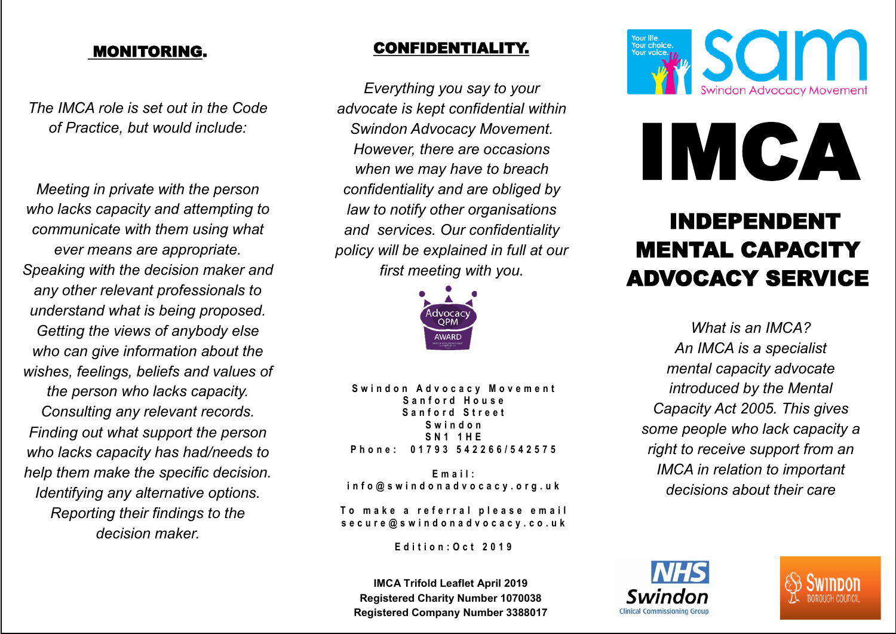#### MONITORING.

*The IMCA role is set out in the Code of Practice, but would include:*

*Meeting in private with the person who lacks capacity and attempting to communicate with them using what ever means are appropriate. Speaking with the decision maker and any other relevant professionals to understand what is being proposed. Getting the views of anybody else who can give information about the wishes, feelings, beliefs and values of the person who lacks capacity. Consulting any relevant records. Finding out what support the person who lacks capacity has had/needs to help them make the specific decision. Identifying any alternative options. Reporting their findings to the decision maker.*

#### CONFIDENTIALITY.

*Everything you say to your advocate is kept confidential within Swindon Advocacy Movement. However, there are occasions when we may have to breach confidentiality and are obliged by law to notify other organisations and services. Our confidentiality policy will be explained in full at our first meeting with you.*



Swindon Advocacy Movement **S a n f o r d H o u s e S a n f o r d S t r e e t S w i n d o n S N 1 1 H E P h o n e : 0 1 7 9 3 5 4 2 2 6 6 / 5 4 2 5 7 5**

**E m a i l : i n f o @ s w i n d o n a d v o c a c y . o r g . u k**

To make a referral please email **s e c u r e @ s w i n d o n a d v o c a c y . c o . u k**

**E d i t i o n : O c t 2 0 1 9**

**IMCA Trifold Leaflet April 2019 Registered Charity Number 1070038 Registered Company Number 3388017**



# IMCA

## INDEPENDENT MENTAL CAPACITY ADVOCACY SERVICE

*What is an IMCA? An IMCA is a specialist mental capacity advocate introduced by the Mental Capacity Act 2005. This gives some people who lack capacity a right to receive support from an IMCA in relation to important decisions about their care*